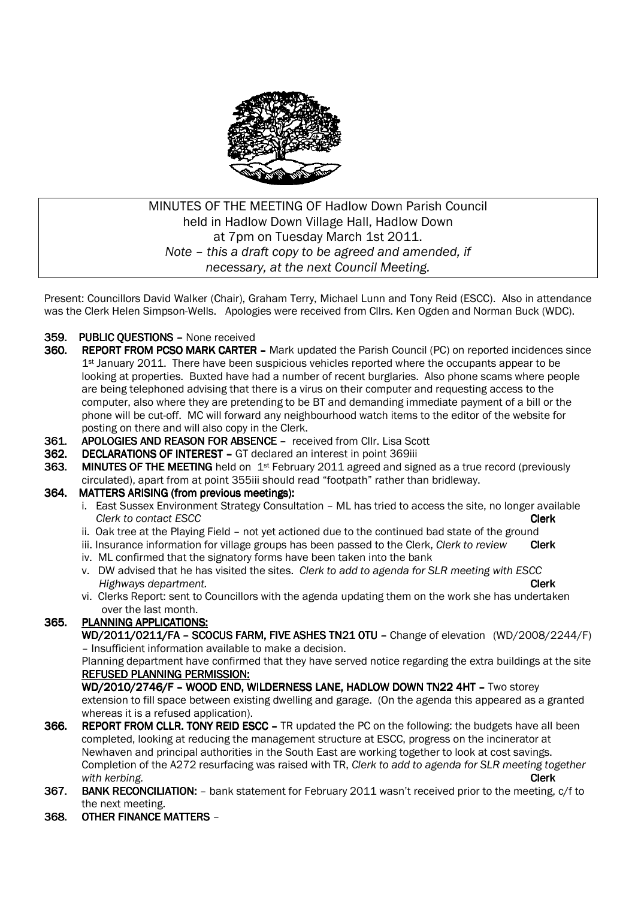

# MINUTES OF THE MEETING OF Hadlow Down Parish Council held in Hadlow Down Village Hall, Hadlow Down at 7pm on Tuesday March 1st 2011. *Note – this a draft copy to be agreed and amended, if necessary, at the next Council Meeting.*

Present: Councillors David Walker (Chair), Graham Terry, Michael Lunn and Tony Reid (ESCC). Also in attendance was the Clerk Helen Simpson-Wells. Apologies were received from Cllrs. Ken Ogden and Norman Buck (WDC).

- 359. PUBLIC OUESTIONS None received
- 360. REPORT FROM PCSO MARK CARTER Mark updated the Parish Council (PC) on reported incidences since  $1<sup>st</sup>$  January 2011. There have been suspicious vehicles reported where the occupants appear to be looking at properties. Buxted have had a number of recent burglaries. Also phone scams where people are being telephoned advising that there is a virus on their computer and requesting access to the computer, also where they are pretending to be BT and demanding immediate payment of a bill or the phone will be cut-off. MC will forward any neighbourhood watch items to the editor of the website for posting on there and will also copy in the Clerk.
- 361. APOLOGIES AND REASON FOR ABSENCE received from Cllr. Lisa Scott
- 362. DECLARATIONS OF INTEREST GT declared an interest in point 369iii
- **363.** MINUTES OF THE MEETING held on  $1st$  February 2011 agreed and signed as a true record (previously circulated), apart from at point 355iii should read "footpath" rather than bridleway.

# 364. MATTERS ARISING (from previous meetings):

- i. East Sussex Environment Strategy Consultation ML has tried to access the site, no longer available *Clerk to contact ESCC* Clerk
- ii. Oak tree at the Playing Field not yet actioned due to the continued bad state of the ground
- iii. Insurance information for village groups has been passed to the Clerk, *Clerk to review* Clerk
- iv. ML confirmed that the signatory forms have been taken into the bank
- v. DW advised that he has visited the sites. *Clerk to add to agenda for SLR meeting with ESCC Highways department.* Clerk
- vi. Clerks Report: sent to Councillors with the agenda updating them on the work she has undertaken over the last month.

# 365. PLANNING APPLICATIONS:

WD/2011/0211/FA - SCOCUS FARM, FIVE ASHES TN21 0TU - Change of elevation (WD/2008/2244/F) – Insufficient information available to make a decision.

 Planning department have confirmed that they have served notice regarding the extra buildings at the site REFUSED PLANNING PERMISSION:

WD/2010/2746/F - WOOD END, WILDERNESS LANE, HADLOW DOWN TN22 4HT - Two storey extension to fill space between existing dwelling and garage. (On the agenda this appeared as a granted whereas it is a refused application).

- 366. REPORT FROM CLLR. TONY REID ESCC TR updated the PC on the following: the budgets have all been completed, looking at reducing the management structure at ESCC, progress on the incinerator at Newhaven and principal authorities in the South East are working together to look at cost savings. Completion of the A272 resurfacing was raised with TR, *Clerk to add to agenda for SLR meeting together with kerbing.* Clerk
- 367. BANK RECONCILIATION: bank statement for February 2011 wasn't received prior to the meeting, c/f to the next meeting.
- 368. OTHER FINANCE MATTERS -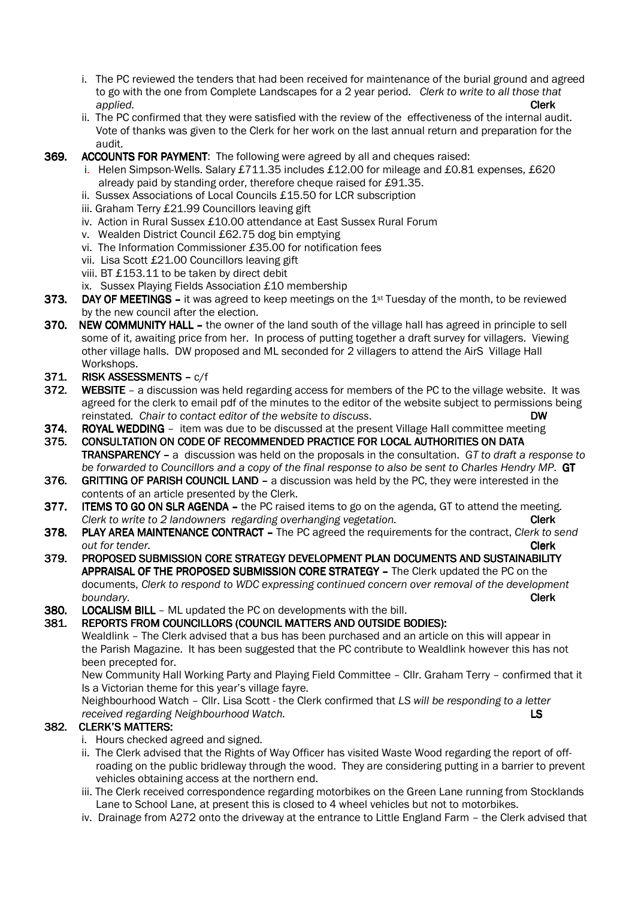- i. The PC reviewed the tenders that had been received for maintenance of the burial ground and agreed to go with the one from Complete Landscapes for a 2 year period. *Clerk to write to all those that applied.* Clerk Clerk Clerk Clerk Clerk Clerk Clerk Clerk
	- ii. The PC confirmed that they were satisfied with the review of the effectiveness of the internal audit. Vote of thanks was given to the Clerk for her work on the last annual return and preparation for the audit.
- 369. ACCOUNTS FOR PAYMENT: The following were agreed by all and cheques raised:
	- i. Helen Simpson-Wells. Salary £711.35 includes £12.00 for mileage and £0.81 expenses, £620 already paid by standing order, therefore cheque raised for £91.35.
	- ii. Sussex Associations of Local Councils £15.50 for LCR subscription
	- iii. Graham Terry £21.99 Councillors leaving gift
	- iv. Action in Rural Sussex £10.00 attendance at East Sussex Rural Forum
	- v. Wealden District Council £62.75 dog bin emptying
	- vi. The Information Commissioner £35.00 for notification fees
	- vii. Lisa Scott £21.00 Councillors leaving gift
	- viii. BT £153.11 to be taken by direct debit
	- ix. Sussex Playing Fields Association £10 membership
- 373. DAY OF MEETINGS it was agreed to keep meetings on the 1st Tuesday of the month, to be reviewed by the new council after the election.
- 370. NEW COMMUNITY HALL the owner of the land south of the village hall has agreed in principle to sell some of it, awaiting price from her. In process of putting together a draft survey for villagers. Viewing other village halls. DW proposed and ML seconded for 2 villagers to attend the AirS Village Hall Workshops.
- 371. RISK ASSESSMENTS c/f
- 372. WEBSITE a discussion was held regarding access for members of the PC to the village website. It was agreed for the clerk to email pdf of the minutes to the editor of the website subject to permissions being reinstated*. Chair to contact editor of the website to discuss*. DW
- 374. ROYAL WEDDING item was due to be discussed at the present Village Hall committee meeting
- 375. CONSULTATION ON CODE OF RECOMMENDED PRACTICE FOR LOCAL AUTHORITIES ON DATA TRANSPARENCY –a discussion was held on the proposals in the consultation. *GT to draft a response to be forwarded to Councillors and a copy of the final response to also be sent to Charles Hendry MP*. GT
- 376. GRITTING OF PARISH COUNCIL LAND  $-$  a discussion was held by the PC, they were interested in the contents of an article presented by the Clerk.
- 377. ITEMS TO GO ON SLR AGENDA the PC raised items to go on the agenda, GT to attend the meeting. *Clerk to write to 2 landowners regarding overhanging vegetation.* Clerk **Clerk**
- **378. PLAY AREA MAINTENANCE CONTRACT –** The PC agreed the requirements for the contract, *Clerk to send <u><i>out for tender.* **Clerk**</u>
- 379. PROPOSED SUBMISSION CORE STRATEGY DEVELOPMENT PLAN DOCUMENTS AND SUSTAINABILITY APPRAISAL OF THE PROPOSED SUBMISSION CORE STRATEGY - The Clerk updated the PC on the documents, *Clerk to respond to WDC expressing continued concern over removal of the development boundary.* Clerk
- 380. LOCALISM BILL ML updated the PC on developments with the bill.
- 381. REPORTS FROM COUNCILLORS (COUNCIL MATTERS AND OUTSIDE BODIES):

 Wealdlink – The Clerk advised that a bus has been purchased and an article on this will appear in the Parish Magazine. It has been suggested that the PC contribute to Wealdlink however this has not been precepted for.

 New Community Hall Working Party and Playing Field Committee – Cllr. Graham Terry – confirmed that it Is a Victorian theme for this year's village fayre.

 Neighbourhood Watch – Cllr. Lisa Scott - the Clerk confirmed that *LS will be responding to a letter received regarding Neighbourhood Watch.* LS

# 382. CLERK'S MATTERS:

- i. Hours checked agreed and signed.
- ii. The Clerk advised that the Rights of Way Officer has visited Waste Wood regarding the report of off roading on the public bridleway through the wood. They are considering putting in a barrier to prevent vehicles obtaining access at the northern end.
- iii. The Clerk received correspondence regarding motorbikes on the Green Lane running from Stocklands Lane to School Lane, at present this is closed to 4 wheel vehicles but not to motorbikes.
- iv. Drainage from A272 onto the driveway at the entrance to Little England Farm the Clerk advised that